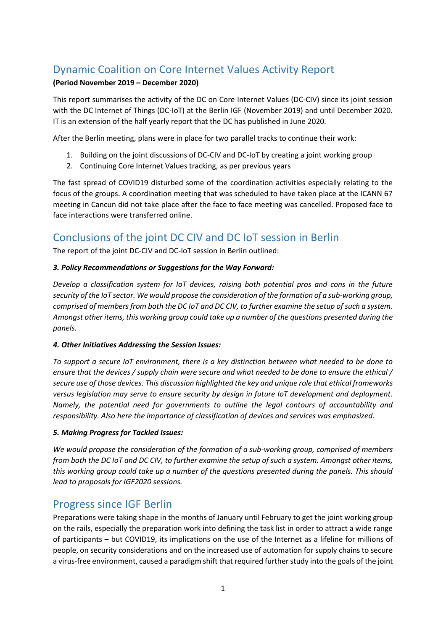## Dynamic Coalition on Core Internet Values Activity Report

#### **(Period November 2019 – December 2020)**

This report summarises the activity of the DC on Core Internet Values (DC-CIV) since its joint session with the DC Internet of Things (DC-IoT) at the Berlin IGF (November 2019) and until December 2020. IT is an extension of the half yearly report that the DC has published in June 2020.

After the Berlin meeting, plans were in place for two parallel tracks to continue their work:

- 1. Building on the joint discussions of DC-CIV and DC-IoT by creating a joint working group
- 2. Continuing Core Internet Values tracking, as per previous years

The fast spread of COVID19 disturbed some of the coordination activities especially relating to the focus of the groups. A coordination meeting that was scheduled to have taken place at the ICANN 67 meeting in Cancun did not take place after the face to face meeting was cancelled. Proposed face to face interactions were transferred online.

### Conclusions of the joint DC CIV and DC IoT session in Berlin

The report of the joint DC-CIV and DC-IoT session in Berlin outlined:

#### *3. Policy Recommendations or Suggestions for the Way Forward:*

*Develop a classification system for IoT devices, raising both potential pros and cons in the future security of the IoT sector. We would propose the consideration of the formation of a sub-working group, comprised of members from both the DC IoT and DC CIV, to further examine the setup of such a system. Amongst other items, this working group could take up a number of the questions presented during the panels.*

#### *4. Other Initiatives Addressing the Session Issues:*

*To support a secure IoT environment, there is a key distinction between what needed to be done to ensure that the devices / supply chain were secure and what needed to be done to ensure the ethical / secure use of those devices. This discussion highlighted the key and unique role that ethical frameworks versus legislation may serve to ensure security by design in future IoT development and deployment. Namely, the potential need for governments to outline the legal contours of accountability and responsibility. Also here the importance of classification of devices and services was emphasized.*

#### *5. Making Progress for Tackled Issues:*

*We would propose the consideration of the formation of a sub-working group, comprised of members from both the DC IoT and DC CIV, to further examine the setup of such a system. Amongst other items, this working group could take up a number of the questions presented during the panels. This should lead to proposals for IGF2020 sessions.*

### Progress since IGF Berlin

Preparations were taking shape in the months of January until February to get the joint working group on the rails, especially the preparation work into defining the task list in order to attract a wide range of participants – but COVID19, its implications on the use of the Internet as a lifeline for millions of people, on security considerations and on the increased use of automation for supply chains to secure a virus-free environment, caused a paradigm shift that required further study into the goals of the joint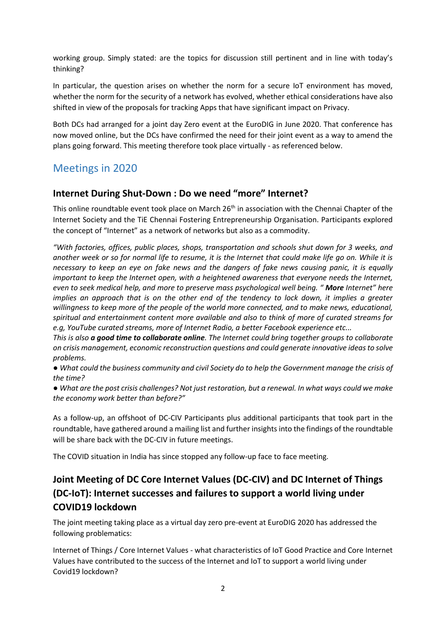working group. Simply stated: are the topics for discussion still pertinent and in line with today's thinking?

In particular, the question arises on whether the norm for a secure IoT environment has moved, whether the norm for the security of a network has evolved, whether ethical considerations have also shifted in view of the proposals for tracking Apps that have significant impact on Privacy.

Both DCs had arranged for a joint day Zero event at the EuroDIG in June 2020. That conference has now moved online, but the DCs have confirmed the need for their joint event as a way to amend the plans going forward. This meeting therefore took place virtually - as referenced below.

### Meetings in 2020

#### **Internet During Shut-Down : Do we need "more" Internet?**

This online roundtable event took place on March 26<sup>th</sup> in association with the Chennai Chapter of the Internet Society and the TiE Chennai Fostering Entrepreneurship Organisation. Participants explored the concept of "Internet" as a network of networks but also as a commodity.

*"With factories, offices, public places, shops, transportation and schools shut down for 3 weeks, and another week or so for normal life to resume, it is the Internet that could make life go on. While it is necessary to keep an eye on fake news and the dangers of fake news causing panic, it is equally important to keep the Internet open, with a heightened awareness that everyone needs the Internet, even to seek medical help, and more to preserve mass psychological well being. " More Internet" here implies an approach that is on the other end of the tendency to lock down, it implies a greater willingness to keep more of the people of the world more connected, and to make news, educational, spiritual and entertainment content more available and also to think of more of curated streams for e.g, YouTube curated streams, more of Internet Radio, a better Facebook experience etc...*

*This is also a good time to collaborate online. The Internet could bring together groups to collaborate on crisis management, economic reconstruction questions and could generate innovative ideas to solve problems.*

*● What could the business community and civil Society do to help the Government manage the crisis of the time?*

*● What are the post crisis challenges? Not just restoration, but a renewal. In what ways could we make the economy work better than before?"*

As a follow-up, an offshoot of DC-CIV Participants plus additional participants that took part in the roundtable, have gathered around a mailing list and further insights into the findings of the roundtable will be share back with the DC-CIV in future meetings.

The COVID situation in India has since stopped any follow-up face to face meeting.

## **Joint Meeting of DC Core Internet Values (DC-CIV) and DC Internet of Things (DC-IoT): Internet successes and failures to support a world living under COVID19 lockdown**

The joint meeting taking place as a virtual day zero pre-event at EuroDIG 2020 has addressed the following problematics:

Internet of Things / Core Internet Values - what characteristics of IoT Good Practice and Core Internet Values have contributed to the success of the Internet and IoT to support a world living under Covid19 lockdown?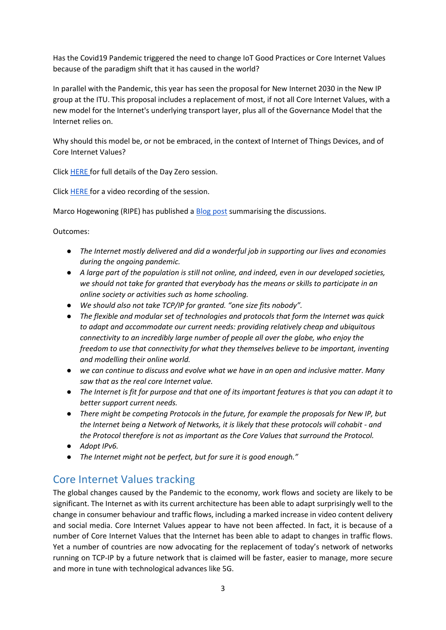Has the Covid19 Pandemic triggered the need to change IoT Good Practices or Core Internet Values because of the paradigm shift that it has caused in the world?

In parallel with the Pandemic, this year has seen the proposal for New Internet 2030 in the New IP group at the ITU. This proposal includes a replacement of most, if not all Core Internet Values, with a new model for the Internet's underlying transport layer, plus all of the Governance Model that the Internet relies on.

Why should this model be, or not be embraced, in the context of Internet of Things Devices, and of Core Internet Values?

Click [HERE f](https://eurodigwiki.org/wiki/IoT_and_Core_Internet_values_Dynamic_Coalition_%E2%80%93_Internet_successes_and_failures_to_support_a_world_living_under_COVID19_lockdown_%E2%80%93_Pre_07_2020)or full details of the Day Zero session.

Click [HERE f](https://youtu.be/wEmlf4n2LJk)or a video recording of the session.

Marco Hogewoning (RIPE) has published a [Blog post](https://labs.ripe.net/Members/gergana_petrova/eurodig-2020-liveblog) summarising the discussions.

Outcomes:

- *The Internet mostly delivered and did a wonderful job in supporting our lives and economies during the ongoing pandemic.*
- *A large part of the population is still not online, and indeed, even in our developed societies, we should not take for granted that everybody has the means or skills to participate in an online society or activities such as home schooling.*
- *We should also not take TCP/IP for granted. "one size fits nobody".*
- *The flexible and modular set of technologies and protocols that form the Internet was quick to adapt and accommodate our current needs: providing relatively cheap and ubiquitous connectivity to an incredibly large number of people all over the globe, who enjoy the freedom to use that connectivity for what they themselves believe to be important, inventing and modelling their online world.*
- *we can continue to discuss and evolve what we have in an open and inclusive matter. Many saw that as the real core Internet value.*
- *The Internet is fit for purpose and that one of its important features is that you can adapt it to better support current needs.*
- *There might be competing Protocols in the future, for example the proposals for New IP, but the Internet being a Network of Networks, it is likely that these protocols will cohabit - and the Protocol therefore is not as important as the Core Values that surround the Protocol.*
- *Adopt IPv6.*
- *The Internet might not be perfect, but for sure it is good enough."*

### Core Internet Values tracking

The global changes caused by the Pandemic to the economy, work flows and society are likely to be significant. The Internet as with its current architecture has been able to adapt surprisingly well to the change in consumer behaviour and traffic flows, including a marked increase in video content delivery and social media. Core Internet Values appear to have not been affected. In fact, it is because of a number of Core Internet Values that the Internet has been able to adapt to changes in traffic flows. Yet a number of countries are now advocating for the replacement of today's network of networks running on TCP-IP by a future network that is claimed will be faster, easier to manage, more secure and more in tune with technological advances like 5G.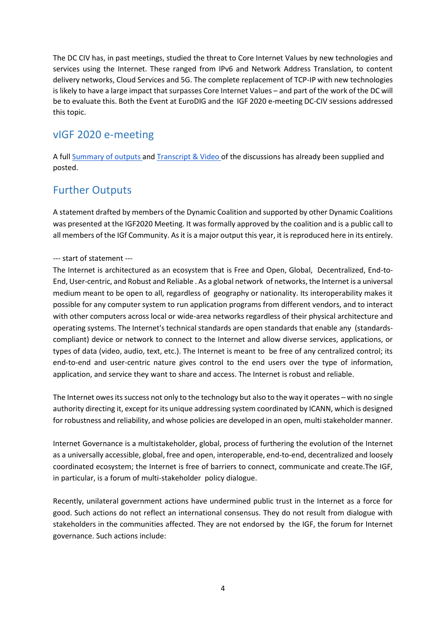The DC CIV has, in past meetings, studied the threat to Core Internet Values by new technologies and services using the Internet. These ranged from IPv6 and Network Address Translation, to content delivery networks, Cloud Services and 5G. The complete replacement of TCP-IP with new technologies is likely to have a large impact that surpasses Core Internet Values – and part of the work of the DC will be to evaluate this. Both the Event at EuroDIG and the IGF 2020 e-meeting DC-CIV sessions addressed this topic.

## vIGF 2020 e-meeting

A full [Summary of outputs a](https://www.intgovforum.org/multilingual/content/igf-2020-internet-in-crisis-management-and-renewal)n[d Transcript & Video o](https://www.intgovforum.org/multilingual/content/igf-2020-day-3-dc-internet-in-crisis-management-and-renewal)f the discussions has already been supplied and posted.

# Further Outputs

A statement drafted by members of the Dynamic Coalition and supported by other Dynamic Coalitions was presented at the IGF2020 Meeting. It was formally approved by the coalition and is a public call to all members of the IGf Community. As it is a major output this year, it is reproduced here in its entirely.

#### --- start of statement ---

The Internet is architectured as an ecosystem that is Free and Open, Global, Decentralized, End-to-End, User-centric, and Robust and Reliable . As a global network of networks, the Internet is a universal medium meant to be open to all, regardless of geography or nationality. Its interoperability makes it possible for any computer system to run application programs from different vendors, and to interact with other computers across local or wide-area networks regardless of their physical architecture and operating systems. The Internet's technical standards are open standards that enable any (standardscompliant) device or network to connect to the Internet and allow diverse services, applications, or types of data (video, audio, text, etc.). The Internet is meant to be free of any centralized control; its end-to-end and user-centric nature gives control to the end users over the type of information, application, and service they want to share and access. The Internet is robust and reliable.

The Internet owes its success not only to the technology but also to the way it operates – with no single authority directing it, except for its unique addressing system coordinated by ICANN, which is designed for robustness and reliability, and whose policies are developed in an open, multi stakeholder manner.

Internet Governance is a multistakeholder, global, process of furthering the evolution of the Internet as a universally accessible, global, free and open, interoperable, end-to-end, decentralized and loosely coordinated ecosystem; the Internet is free of barriers to connect, communicate and create.The IGF, in particular, is a forum of multi-stakeholder policy dialogue.

Recently, unilateral government actions have undermined public trust in the Internet as a force for good. Such actions do not reflect an international consensus. They do not result from dialogue with stakeholders in the communities affected. They are not endorsed by the IGF, the forum for Internet governance. Such actions include: